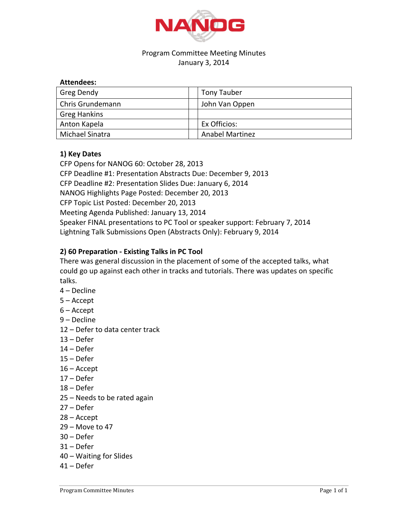

## Program Committee Meeting Minutes January 3, 2014

| <b>Attendees:</b>   |                        |
|---------------------|------------------------|
| Greg Dendy          | Tony Tauber            |
| Chris Grundemann    | John Van Oppen         |
| <b>Greg Hankins</b> |                        |
| Anton Kapela        | Ex Officios:           |
| Michael Sinatra     | <b>Anabel Martinez</b> |

## **1) Key Dates**

**Attendees:**

CFP Opens for NANOG 60: October 28, 2013 CFP Deadline #1: Presentation Abstracts Due: December 9, 2013 CFP Deadline #2: Presentation Slides Due: January 6, 2014 NANOG Highlights Page Posted: December 20, 2013 CFP Topic List Posted: December 20, 2013 Meeting Agenda Published: January 13, 2014 Speaker FINAL presentations to PC Tool or speaker support: February 7, 2014 Lightning Talk Submissions Open (Abstracts Only): February 9, 2014

## **2) 60 Preparation - Existing Talks in PC Tool**

There was general discussion in the placement of some of the accepted talks, what could go up against each other in tracks and tutorials. There was updates on specific talks.

- 4 Decline
- $5 -$ Accept
- $6 -$ Accept
- 9 Decline
- 12 Defer to data center track
- $13 Defer$
- $14 Defer$
- $15 Defer$
- $16$  Accept
- $17 Defer$
- $18 Defer$
- 25 Needs to be rated again
- 27 Defer
- $28 -$ Accept
- 29 Move to 47
- $30 Defer$
- $31 Defer$
- 40 Waiting for Slides
- $41 Defer$